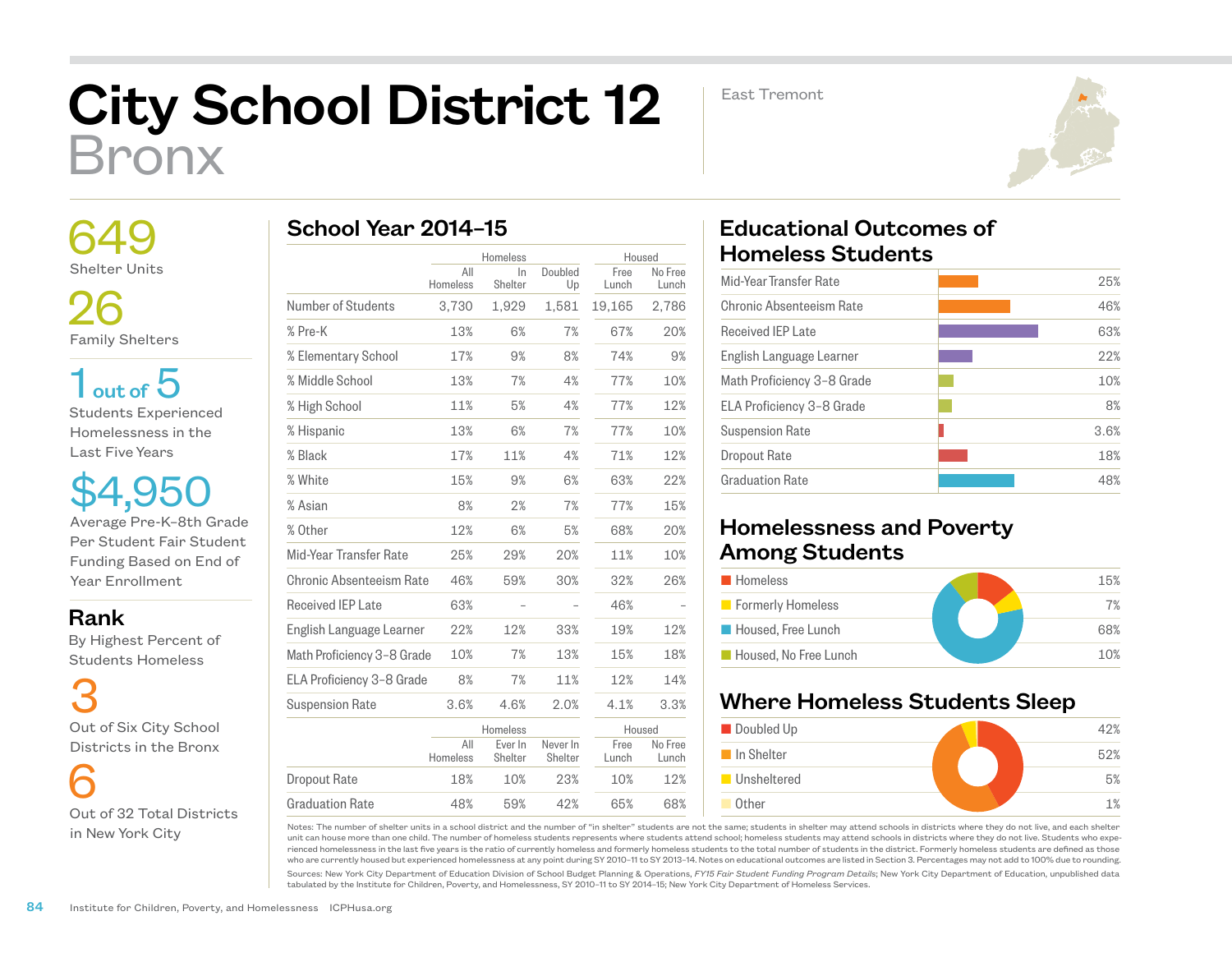# City School District 12 Bronx

East Tremont



 649 Shelter Units

 26 Family Shelters

 $1<sub>out of</sub> 5$ Students Experienced Homelessness in the Last Five Years

\$4,950 Average Pre-K–8th Grade Per Student Fair Student Funding Based on End of Year Enrollment

#### Rank

 By Highest Percent of Students Homeless

3 Out of Six City School Districts in the Bronx

 6 Out of 32 Total Districts in New York City

|  | School Year 2014-15 |  |
|--|---------------------|--|
|  |                     |  |

|                            | Homeless        |                    | Housed              |               |                  |
|----------------------------|-----------------|--------------------|---------------------|---------------|------------------|
|                            | All<br>Homeless | In<br>Shelter      | Doubled<br>Up       | Free<br>Lunch | No Free<br>Lunch |
| Number of Students         | 3,730           | 1,929              | 1,581               | 19,165        | 2,786            |
| % Pre-K                    | 13%             | 6%                 | 7%                  | 67%           | 20%              |
| % Elementary School        | 17%             | 9%                 | 8%                  | 74%           | 9%               |
| % Middle School            | 13%             | 7%                 | 4%                  | 77%           | 10%              |
| % High School              | 11%             | 5%                 | 4%                  | 77%           | 12%              |
| % Hispanic                 | 13%             | 6%                 | 7%                  | 77%           | 10%              |
| % Black                    | 17%             | 11%                | 4%                  | 71%           | 12%              |
| % White                    | 15%             | 9%                 | 6%                  | 63%           | 22%              |
| % Asian                    | 8%              | 2%                 | 7%                  | 77%           | 15%              |
| % Other                    | 12%             | 6%                 | 5%                  | 68%           | 20%              |
| Mid-Year Transfer Rate     | 25%             | 29%                | 20%                 | 11%           | 10%              |
| Chronic Absenteeism Rate   | 46%             | 59%                | 30%                 | 32%           | 26%              |
| <b>Received IEP Late</b>   | 63%             |                    |                     | 46%           |                  |
| English Language Learner   | 22%             | 12%                | 33%                 | 19%           | 12%              |
| Math Proficiency 3-8 Grade | 10%             | 7%                 | 13%                 | 15%           | 18%              |
| ELA Proficiency 3-8 Grade  | 8%              | 7%                 | 11%                 | 12%           | 14%              |
| <b>Suspension Rate</b>     | 3.6%            | 4.6%               | 2.0%                | 4.1%          | 3.3%             |
|                            |                 | Homeless           |                     | Housed        |                  |
|                            | All<br>Homeless | Ever In<br>Shelter | Never In<br>Shelter | Free<br>Lunch | No Free<br>Lunch |
| Dropout Rate               | 18%             | 10%                | 23%                 | 10%           | 12%              |
| <b>Graduation Rate</b>     | 48%             | 59%                | 42%                 | 65%           | 68%              |

## Educational Outcomes of Homeless Students

| 25%  |
|------|
| 46%  |
| 63%  |
| 22%  |
| 10%  |
| 8%   |
| 3.6% |
| 18%  |
| 48%  |
|      |

### Homelessness and Poverty Among Students

| <b>Homeless</b>       | 15% |
|-----------------------|-----|
| Formerly Homeless     | 7%  |
| Housed, Free Lunch    | 68% |
| Housed, No Free Lunch | 10% |

## Where Homeless Students Sleep



Notes: The number of shelter units in a school district and the number of "in shelter" students are not the same; students in shelter may attend schools in districts where they do not live, and each shelter unit can house more than one child. The number of homeless students represents where students attend school; homeless students may attend schools in districts where they do not live. Students who experienced homelessness in the last five years is the ratio of currently homeless and formerly homeless students to the total number of students in the district. Formerly homeless students are defined as those who are currently housed but experienced homelessness at any point during SY 2010–11 to SY 2013–14. Notes on educational outcomes are listed in Section 3. Percentages may not add to 100% due to rounding.

Sources: New York City Department of Education Division of School Budget Planning & Operations, *FY15 Fair Student Funding Program Details*; New York City Department of Education, unpublished data tabulated by the Institute for Children, Poverty, and Homelessness, SY 2010–11 to SY 2014–15; New York City Department of Homeless Services.